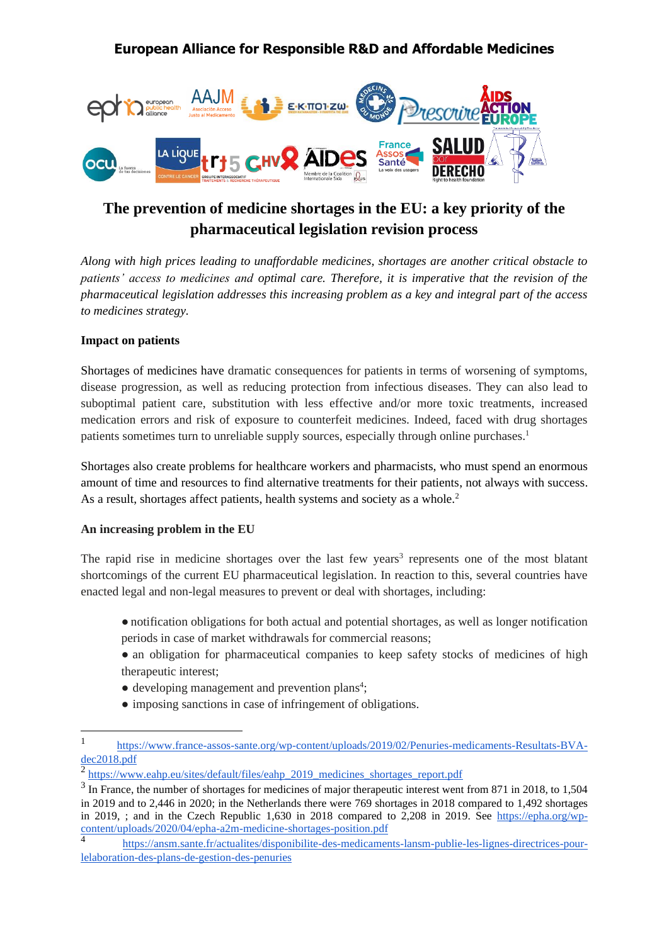

# **The prevention of medicine shortages in the EU: a key priority of the pharmaceutical legislation revision process**

*Along with high prices leading to unaffordable medicines, shortages are another critical obstacle to patients' access to medicines and optimal care. Therefore, it is imperative that the revision of the pharmaceutical legislation addresses this increasing problem as a key and integral part of the access to medicines strategy.*

### **Impact on patients**

Shortages of medicines have dramatic consequences for patients in terms of worsening of symptoms, disease progression, as well as reducing protection from infectious diseases. They can also lead to suboptimal patient care, substitution with less effective and/or more toxic treatments, increased medication errors and risk of exposure to counterfeit medicines. Indeed, faced with drug shortages patients sometimes turn to unreliable supply sources, especially through online purchases.<sup>1</sup>

Shortages also create problems for healthcare workers and pharmacists, who must spend an enormous amount of time and resources to find alternative treatments for their patients, not always with success. As a result, shortages affect patients, health systems and society as a whole.<sup>2</sup>

#### **An increasing problem in the EU**

The rapid rise in medicine shortages over the last few years<sup>3</sup> represents one of the most blatant shortcomings of the current EU pharmaceutical legislation. In reaction to this, several countries have enacted legal and non-legal measures to prevent or deal with shortages, including:

- notification obligations for both actual and potential shortages, as well as longer notification periods in case of market withdrawals for commercial reasons;
- an obligation for pharmaceutical companies to keep safety stocks of medicines of high therapeutic interest;
- $\bullet$  developing management and prevention plans<sup>4</sup>;
- imposing sanctions in case of infringement of obligations.

<sup>1</sup> [https://www.france-assos-sante.org/wp-content/uploads/2019/02/Penuries-medicaments-Resultats-BVA](https://www.france-assos-sante.org/wp-content/uploads/2019/02/Penuries-medicaments-Resultats-BVA-dec2018.pdf)[dec2018.pdf](https://www.france-assos-sante.org/wp-content/uploads/2019/02/Penuries-medicaments-Resultats-BVA-dec2018.pdf)

<sup>&</sup>lt;sup>2</sup> [https://www.eahp.eu/sites/default/files/eahp\\_2019\\_medicines\\_shortages\\_report.pdf](https://www.eahp.eu/sites/default/files/eahp_2019_medicines_shortages_report.pdf)

<sup>&</sup>lt;sup>3</sup> In France, the number of shortages for medicines of major therapeutic interest went from 871 in 2018, to 1,504 in 2019 and to 2,446 in 2020; in the Netherlands there were 769 shortages in 2018 compared to 1,492 shortages in 2019, ; and in the Czech Republic 1,630 in 2018 compared to 2,208 in 2019. See [https://epha.org/wp](https://epha.org/wp-content/uploads/2020/04/epha-a2m-medicine-shortages-position.pdf)[content/uploads/2020/04/epha-a2m-medicine-shortages-position.pdf](https://epha.org/wp-content/uploads/2020/04/epha-a2m-medicine-shortages-position.pdf)

<sup>4</sup> [https://ansm.sante.fr/actualites/disponibilite-des-medicaments-lansm-publie-les-lignes-directrices-pour](https://ansm.sante.fr/actualites/disponibilite-des-medicaments-lansm-publie-les-lignes-directrices-pour-lelaboration-des-plans-de-gestion-des-penuries)[lelaboration-des-plans-de-gestion-des-penuries](https://ansm.sante.fr/actualites/disponibilite-des-medicaments-lansm-publie-les-lignes-directrices-pour-lelaboration-des-plans-de-gestion-des-penuries)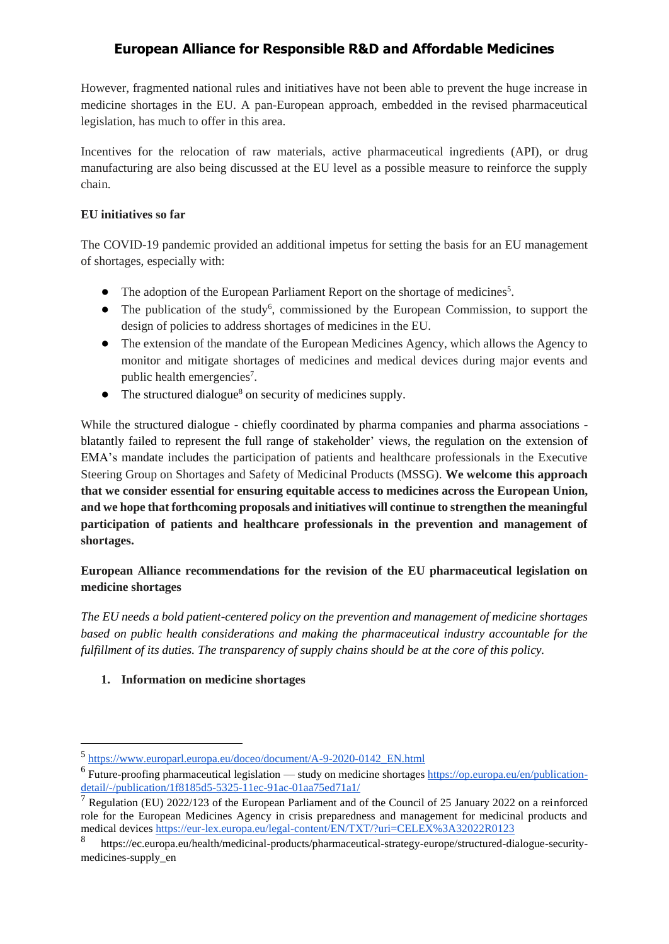However, fragmented national rules and initiatives have not been able to prevent the huge increase in medicine shortages in the EU. A pan-European approach, embedded in the revised pharmaceutical legislation, has much to offer in this area.

Incentives for the relocation of raw materials, active pharmaceutical ingredients (API), or drug manufacturing are also being discussed at the EU level as a possible measure to reinforce the supply chain.

### **EU initiatives so far**

The COVID-19 pandemic provided an additional impetus for setting the basis for an EU management of shortages, especially with:

- The adoption of the European Parliament Report on the shortage of medicines<sup>5</sup>.
- The publication of the study<sup>6</sup>, commissioned by the European Commission, to support the design of policies to address shortages of medicines in the EU.
- The extension of the mandate of the European Medicines Agency, which allows the Agency to monitor and mitigate shortages of medicines and medical devices during major events and public health emergencies<sup>7</sup>.
- $\bullet$  The structured dialogue<sup>8</sup> on security of medicines supply.

While the structured dialogue - chiefly coordinated by pharma companies and pharma associations blatantly failed to represent the full range of stakeholder' views, the regulation on the extension of EMA's mandate includes the participation of patients and healthcare professionals in the Executive Steering Group on Shortages and Safety of Medicinal Products (MSSG). **We welcome this approach that we consider essential for ensuring equitable access to medicines across the European Union, and we hope that forthcoming proposals and initiatives will continue to strengthen the meaningful participation of patients and healthcare professionals in the prevention and management of shortages.**

### **European Alliance recommendations for the revision of the EU pharmaceutical legislation on medicine shortages**

*The EU needs a bold patient-centered policy on the prevention and management of medicine shortages based on public health considerations and making the pharmaceutical industry accountable for the fulfillment of its duties. The transparency of supply chains should be at the core of this policy.*

### **1. Information on medicine shortages**

<sup>5</sup> [https://www.europarl.europa.eu/doceo/document/A-9-2020-0142\\_EN.html](https://www.europarl.europa.eu/doceo/document/A-9-2020-0142_EN.html)

<sup>&</sup>lt;sup>6</sup> Future-proofing pharmaceutical legislation — study on medicine shortage[s https://op.europa.eu/en/publication](https://op.europa.eu/en/publication-detail/-/publication/1f8185d5-5325-11ec-91ac-01aa75ed71a1/)[detail/-/publication/1f8185d5-5325-11ec-91ac-01aa75ed71a1/](https://op.europa.eu/en/publication-detail/-/publication/1f8185d5-5325-11ec-91ac-01aa75ed71a1/)

 $<sup>7</sup>$  Regulation (EU) 2022/123 of the European Parliament and of the Council of 25 January 2022 on a reinforced</sup> role for the European Medicines Agency in crisis preparedness and management for medicinal products and medical device[s https://eur-lex.europa.eu/legal-content/EN/TXT/?uri=CELEX%3A32022R0123](https://eur-lex.europa.eu/legal-content/EN/TXT/?uri=CELEX%3A32022R0123)

<sup>8</sup> https://ec.europa.eu/health/medicinal-products/pharmaceutical-strategy-europe/structured-dialogue-securitymedicines-supply\_en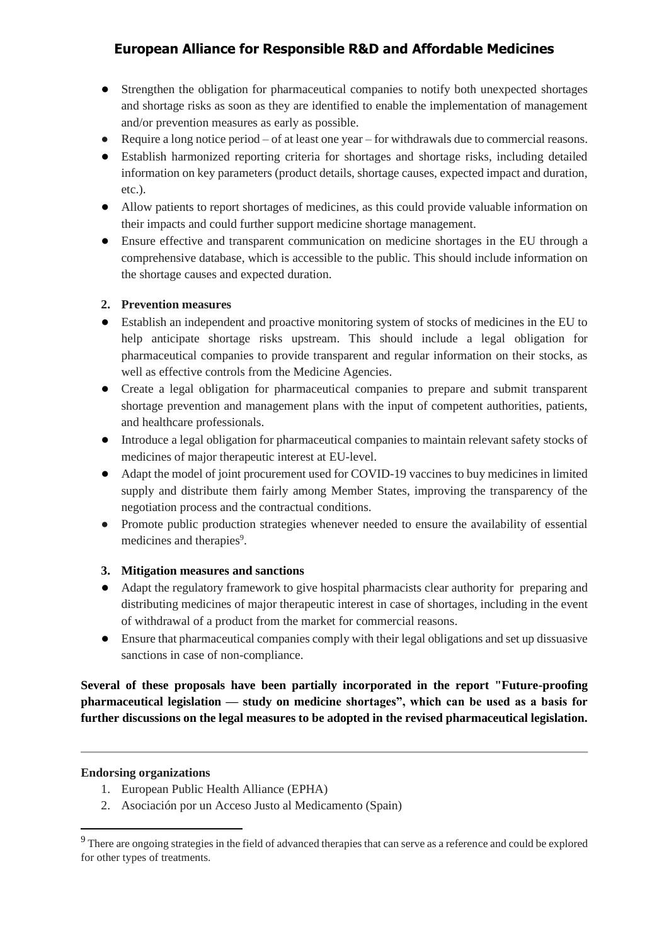- Strengthen the obligation for pharmaceutical companies to notify both unexpected shortages and shortage risks as soon as they are identified to enable the implementation of management and/or prevention measures as early as possible.
- Require a long notice period of at least one year for withdrawals due to commercial reasons.
- Establish harmonized reporting criteria for shortages and shortage risks, including detailed information on key parameters (product details, shortage causes, expected impact and duration, etc.).
- Allow patients to report shortages of medicines, as this could provide valuable information on their impacts and could further support medicine shortage management.
- Ensure effective and transparent communication on medicine shortages in the EU through a comprehensive database, which is accessible to the public. This should include information on the shortage causes and expected duration.

### **2. Prevention measures**

- Establish an independent and proactive monitoring system of stocks of medicines in the EU to help anticipate shortage risks upstream. This should include a legal obligation for pharmaceutical companies to provide transparent and regular information on their stocks, as well as effective controls from the Medicine Agencies.
- Create a legal obligation for pharmaceutical companies to prepare and submit transparent shortage prevention and management plans with the input of competent authorities, patients, and healthcare professionals.
- Introduce a legal obligation for pharmaceutical companies to maintain relevant safety stocks of medicines of major therapeutic interest at EU-level.
- Adapt the model of joint procurement used for COVID-19 vaccines to buy medicines in limited supply and distribute them fairly among Member States, improving the transparency of the negotiation process and the contractual conditions.
- Promote public production strategies whenever needed to ensure the availability of essential medicines and therapies<sup>9</sup>.

### **3. Mitigation measures and sanctions**

- Adapt the regulatory framework to give hospital pharmacists clear authority for preparing and distributing medicines of major therapeutic interest in case of shortages, including in the event of withdrawal of a product from the market for commercial reasons.
- Ensure that pharmaceutical companies comply with their legal obligations and set up dissuasive sanctions in case of non-compliance.

**Several of these proposals have been partially incorporated in the report "Future-proofing pharmaceutical legislation — study on medicine shortages", which can be used as a basis for further discussions on the legal measures to be adopted in the revised pharmaceutical legislation.**

### **Endorsing organizations**

- 1. European Public Health Alliance (EPHA)
- 2. Asociación por un Acceso Justo al Medicamento (Spain)

<sup>&</sup>lt;sup>9</sup> There are ongoing strategies in the field of advanced therapies that can serve as a reference and could be explored for other types of treatments.